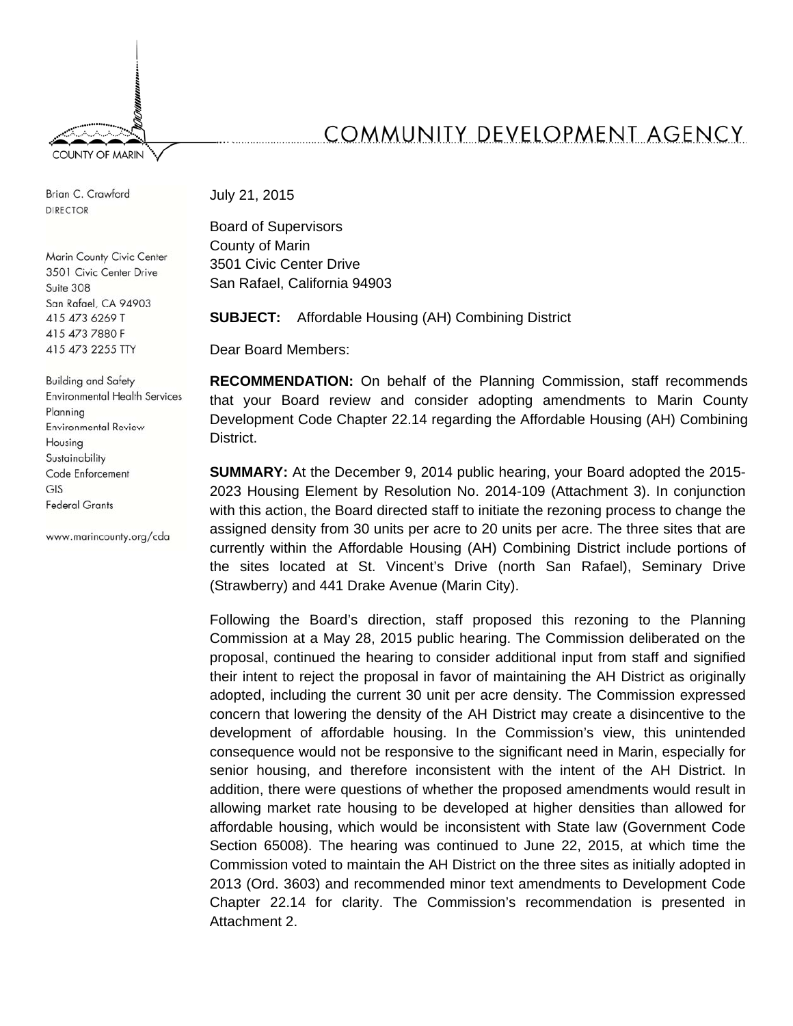

Brian C. Crawford **DIRECTOR** 

Marin County Civic Center 3501 Civic Center Drive Suite 308 San Rafael, CA 94903 415 473 6269 T 415 473 7880 F 415 473 2255 TTY

**Building and Safety Environmental Health Services** Planning **Environmental Review** Housing Sustainability Code Enforcement GIS **Federal Grants** 

www.marincounty.org/cda

# COMMUNITY DEVELOPMENT AGENCY

July 21, 2015

Board of Supervisors County of Marin 3501 Civic Center Drive San Rafael, California 94903

**SUBJECT:** Affordable Housing (AH) Combining District

Dear Board Members:

**RECOMMENDATION:** On behalf of the Planning Commission, staff recommends that your Board review and consider adopting amendments to Marin County Development Code Chapter 22.14 regarding the Affordable Housing (AH) Combining District.

**SUMMARY:** At the December 9, 2014 public hearing, your Board adopted the 2015- 2023 Housing Element by Resolution No. 2014-109 (Attachment 3). In conjunction with this action, the Board directed staff to initiate the rezoning process to change the assigned density from 30 units per acre to 20 units per acre. The three sites that are currently within the Affordable Housing (AH) Combining District include portions of the sites located at St. Vincent's Drive (north San Rafael), Seminary Drive (Strawberry) and 441 Drake Avenue (Marin City).

Following the Board's direction, staff proposed this rezoning to the Planning Commission at a May 28, 2015 public hearing. The Commission deliberated on the proposal, continued the hearing to consider additional input from staff and signified their intent to reject the proposal in favor of maintaining the AH District as originally adopted, including the current 30 unit per acre density. The Commission expressed concern that lowering the density of the AH District may create a disincentive to the development of affordable housing. In the Commission's view, this unintended consequence would not be responsive to the significant need in Marin, especially for senior housing, and therefore inconsistent with the intent of the AH District. In addition, there were questions of whether the proposed amendments would result in allowing market rate housing to be developed at higher densities than allowed for affordable housing, which would be inconsistent with State law (Government Code Section 65008). The hearing was continued to June 22, 2015, at which time the Commission voted to maintain the AH District on the three sites as initially adopted in 2013 (Ord. 3603) and recommended minor text amendments to Development Code Chapter 22.14 for clarity. The Commission's recommendation is presented in Attachment 2.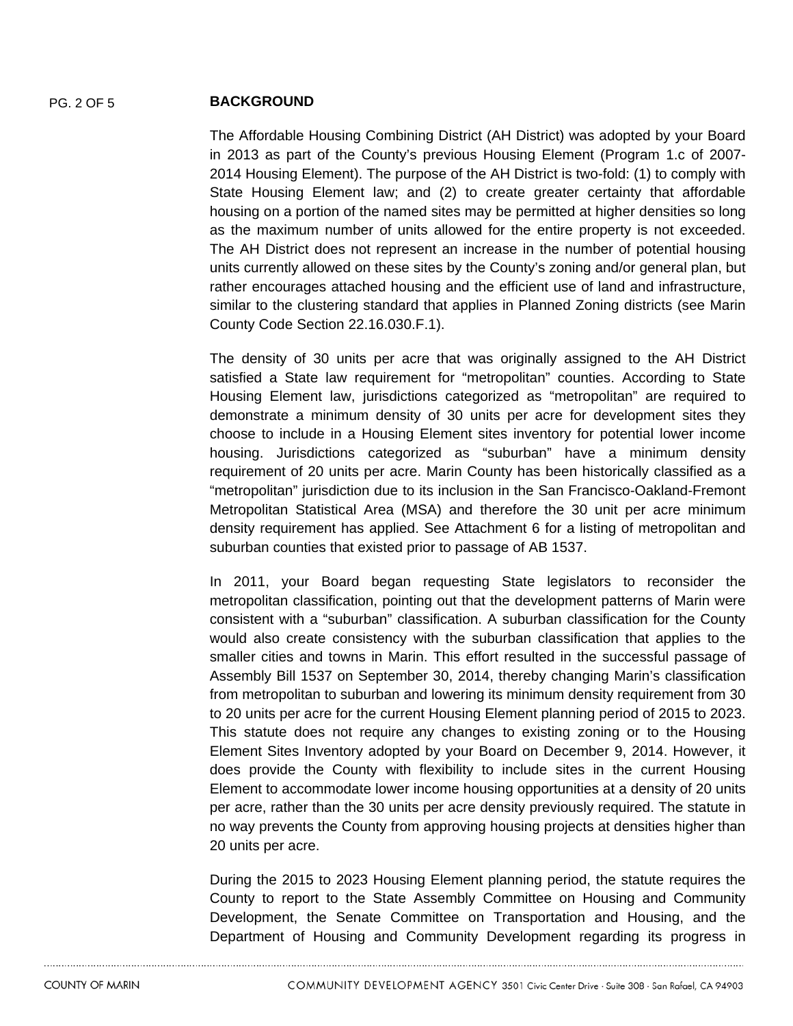## PG. 2 OF 5 **BACKGROUND**

The Affordable Housing Combining District (AH District) was adopted by your Board in 2013 as part of the County's previous Housing Element (Program 1.c of 2007- 2014 Housing Element). The purpose of the AH District is two-fold: (1) to comply with State Housing Element law; and (2) to create greater certainty that affordable housing on a portion of the named sites may be permitted at higher densities so long as the maximum number of units allowed for the entire property is not exceeded. The AH District does not represent an increase in the number of potential housing units currently allowed on these sites by the County's zoning and/or general plan, but rather encourages attached housing and the efficient use of land and infrastructure, similar to the clustering standard that applies in Planned Zoning districts (see Marin County Code Section 22.16.030.F.1).

The density of 30 units per acre that was originally assigned to the AH District satisfied a State law requirement for "metropolitan" counties. According to State Housing Element law, jurisdictions categorized as "metropolitan" are required to demonstrate a minimum density of 30 units per acre for development sites they choose to include in a Housing Element sites inventory for potential lower income housing. Jurisdictions categorized as "suburban" have a minimum density requirement of 20 units per acre. Marin County has been historically classified as a "metropolitan" jurisdiction due to its inclusion in the San Francisco-Oakland-Fremont Metropolitan Statistical Area (MSA) and therefore the 30 unit per acre minimum density requirement has applied. See Attachment 6 for a listing of metropolitan and suburban counties that existed prior to passage of AB 1537.

In 2011, your Board began requesting State legislators to reconsider the metropolitan classification, pointing out that the development patterns of Marin were consistent with a "suburban" classification. A suburban classification for the County would also create consistency with the suburban classification that applies to the smaller cities and towns in Marin. This effort resulted in the successful passage of Assembly Bill 1537 on September 30, 2014, thereby changing Marin's classification from metropolitan to suburban and lowering its minimum density requirement from 30 to 20 units per acre for the current Housing Element planning period of 2015 to 2023. This statute does not require any changes to existing zoning or to the Housing Element Sites Inventory adopted by your Board on December 9, 2014. However, it does provide the County with flexibility to include sites in the current Housing Element to accommodate lower income housing opportunities at a density of 20 units per acre, rather than the 30 units per acre density previously required. The statute in no way prevents the County from approving housing projects at densities higher than 20 units per acre.

During the 2015 to 2023 Housing Element planning period, the statute requires the County to report to the State Assembly Committee on Housing and Community Development, the Senate Committee on Transportation and Housing, and the Department of Housing and Community Development regarding its progress in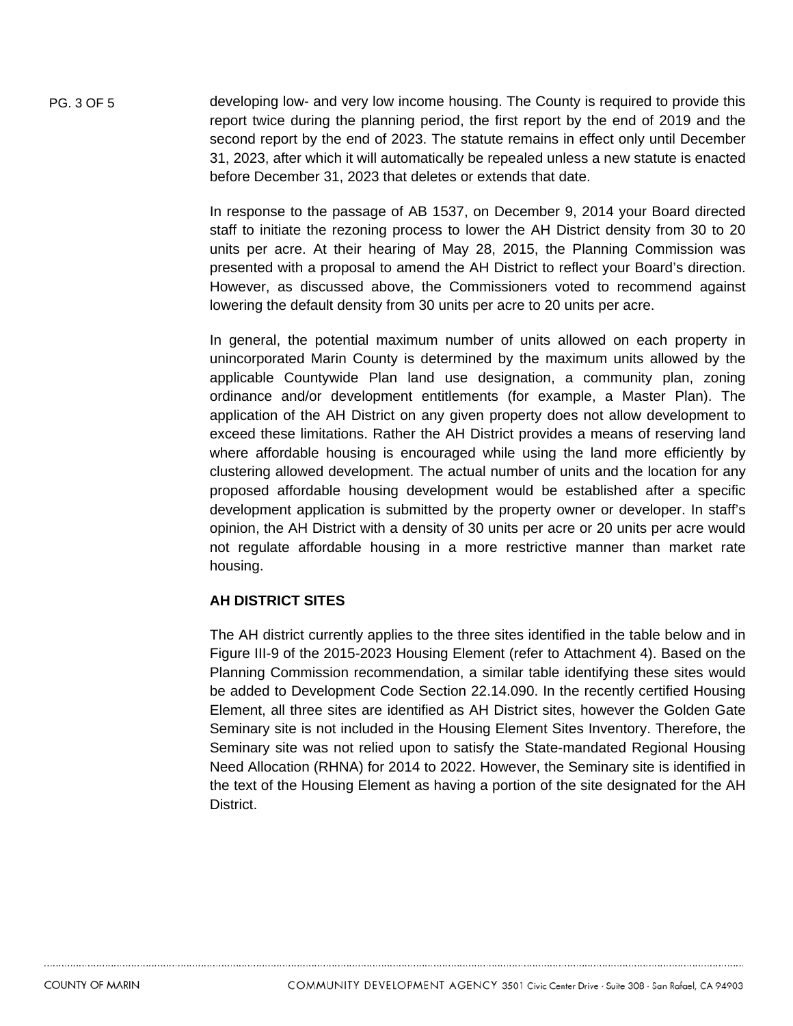PG. 3 OF 5 developing low- and very low income housing. The County is required to provide this report twice during the planning period, the first report by the end of 2019 and the second report by the end of 2023. The statute remains in effect only until December 31, 2023, after which it will automatically be repealed unless a new statute is enacted before December 31, 2023 that deletes or extends that date.

> In response to the passage of AB 1537, on December 9, 2014 your Board directed staff to initiate the rezoning process to lower the AH District density from 30 to 20 units per acre. At their hearing of May 28, 2015, the Planning Commission was presented with a proposal to amend the AH District to reflect your Board's direction. However, as discussed above, the Commissioners voted to recommend against lowering the default density from 30 units per acre to 20 units per acre.

> In general, the potential maximum number of units allowed on each property in unincorporated Marin County is determined by the maximum units allowed by the applicable Countywide Plan land use designation, a community plan, zoning ordinance and/or development entitlements (for example, a Master Plan). The application of the AH District on any given property does not allow development to exceed these limitations. Rather the AH District provides a means of reserving land where affordable housing is encouraged while using the land more efficiently by clustering allowed development. The actual number of units and the location for any proposed affordable housing development would be established after a specific development application is submitted by the property owner or developer. In staff's opinion, the AH District with a density of 30 units per acre or 20 units per acre would not regulate affordable housing in a more restrictive manner than market rate housing.

# **AH DISTRICT SITES**

The AH district currently applies to the three sites identified in the table below and in Figure III-9 of the 2015-2023 Housing Element (refer to Attachment 4). Based on the Planning Commission recommendation, a similar table identifying these sites would be added to Development Code Section 22.14.090. In the recently certified Housing Element, all three sites are identified as AH District sites, however the Golden Gate Seminary site is not included in the Housing Element Sites Inventory. Therefore, the Seminary site was not relied upon to satisfy the State-mandated Regional Housing Need Allocation (RHNA) for 2014 to 2022. However, the Seminary site is identified in the text of the Housing Element as having a portion of the site designated for the AH District.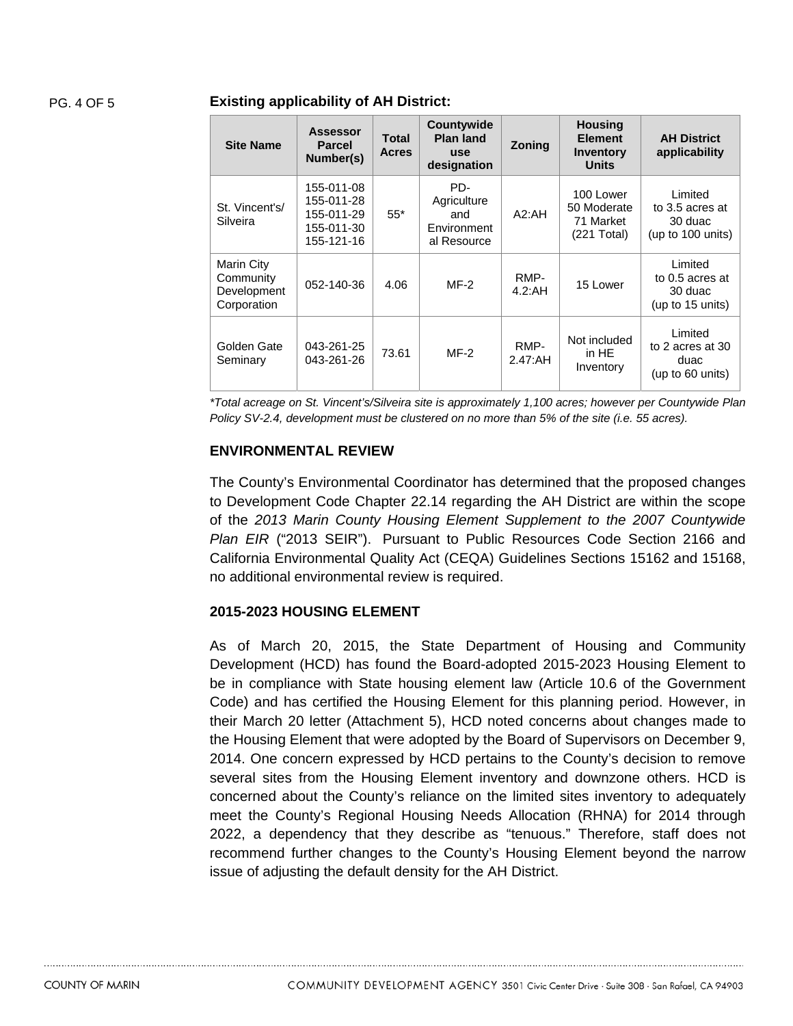#### PG. 4 OF 5 **Existing applicability of AH District:**

| <b>Site Name</b>                                      | <b>Assessor</b><br><b>Parcel</b><br>Number(s)                      | Total<br><b>Acres</b> | Countywide<br>Plan land<br><b>use</b><br>designation    | Zoning          | <b>Housing</b><br><b>Element</b><br><b>Inventory</b><br><b>Units</b> | <b>AH District</b><br>applicability                        |
|-------------------------------------------------------|--------------------------------------------------------------------|-----------------------|---------------------------------------------------------|-----------------|----------------------------------------------------------------------|------------------------------------------------------------|
| St. Vincent's/<br>Silveira                            | 155-011-08<br>155-011-28<br>155-011-29<br>155-011-30<br>155-121-16 | $55*$                 | PD-<br>Agriculture<br>and<br>Environment<br>al Resource | A2:AH           | 100 Lower<br>50 Moderate<br>71 Market<br>(221 Total)                 | Limited<br>to 3.5 acres at<br>30 duac<br>(up to 100 units) |
| Marin City<br>Community<br>Development<br>Corporation | 052-140-36                                                         | 4.06                  | $MF-2$                                                  | RMP-<br>4.2:AH  | 15 Lower                                                             | Limited<br>to 0.5 acres at<br>30 duac<br>(up to 15 units)  |
| Golden Gate<br>Seminary                               | 043-261-25<br>043-261-26                                           | 73.61                 | $MF-2$                                                  | RMP-<br>2.47:AH | Not included<br>in HE<br>Inventory                                   | Limited<br>to 2 acres at 30<br>duac<br>(up to 60 units)    |

*\*Total acreage on St. Vincent's/Silveira site is approximately 1,100 acres; however per Countywide Plan Policy SV-2.4, development must be clustered on no more than 5% of the site (i.e. 55 acres).* 

#### **ENVIRONMENTAL REVIEW**

The County's Environmental Coordinator has determined that the proposed changes to Development Code Chapter 22.14 regarding the AH District are within the scope of the *2013 Marin County Housing Element Supplement to the 2007 Countywide Plan EIR* ("2013 SEIR"). Pursuant to Public Resources Code Section 2166 and California Environmental Quality Act (CEQA) Guidelines Sections 15162 and 15168, no additional environmental review is required.

### **2015-2023 HOUSING ELEMENT**

As of March 20, 2015, the State Department of Housing and Community Development (HCD) has found the Board-adopted 2015-2023 Housing Element to be in compliance with State housing element law (Article 10.6 of the Government Code) and has certified the Housing Element for this planning period. However, in their March 20 letter (Attachment 5), HCD noted concerns about changes made to the Housing Element that were adopted by the Board of Supervisors on December 9, 2014. One concern expressed by HCD pertains to the County's decision to remove several sites from the Housing Element inventory and downzone others. HCD is concerned about the County's reliance on the limited sites inventory to adequately meet the County's Regional Housing Needs Allocation (RHNA) for 2014 through 2022, a dependency that they describe as "tenuous." Therefore, staff does not recommend further changes to the County's Housing Element beyond the narrow issue of adjusting the default density for the AH District.